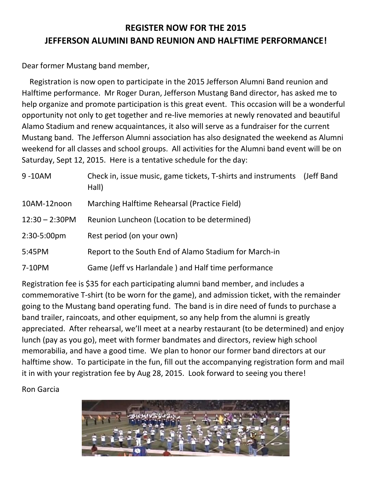## **REGISTER NOW FOR THE 2015 JEFFERSON ALUMINI BAND REUNION AND HALFTIME PERFORMANCE!**

Dear former Mustang band member,

 Registration is now open to participate in the 2015 Jefferson Alumni Band reunion and Halftime performance. Mr Roger Duran, Jefferson Mustang Band director, has asked me to help organize and promote participation is this great event. This occasion will be a wonderful opportunity not only to get together and re-live memories at newly renovated and beautiful Alamo Stadium and renew acquaintances, it also will serve as a fundraiser for the current Mustang band. The Jefferson Alumni association has also designated the weekend as Alumni weekend for all classes and school groups. All activities for the Alumni band event will be on Saturday, Sept 12, 2015. Here is a tentative schedule for the day:

| 9-10AM            | Check in, issue music, game tickets, T-shirts and instruments<br>Hall) | (Jeff Band) |
|-------------------|------------------------------------------------------------------------|-------------|
| 10AM-12noon       | Marching Halftime Rehearsal (Practice Field)                           |             |
| $12:30 - 2:30$ PM | Reunion Luncheon (Location to be determined)                           |             |
| 2:30-5:00pm       | Rest period (on your own)                                              |             |
| 5:45PM            | Report to the South End of Alamo Stadium for March-in                  |             |
| 7-10PM            | Game (Jeff vs Harlandale) and Half time performance                    |             |
|                   |                                                                        |             |

Registration fee is \$35 for each participating alumni band member, and includes a commemorative T-shirt (to be worn for the game), and admission ticket, with the remainder going to the Mustang band operating fund. The band is in dire need of funds to purchase a band trailer, raincoats, and other equipment, so any help from the alumni is greatly appreciated. After rehearsal, we'll meet at a nearby restaurant (to be determined) and enjoy lunch (pay as you go), meet with former bandmates and directors, review high school memorabilia, and have a good time. We plan to honor our former band directors at our halftime show. To participate in the fun, fill out the accompanying registration form and mail it in with your registration fee by Aug 28, 2015. Look forward to seeing you there!

Ron Garcia